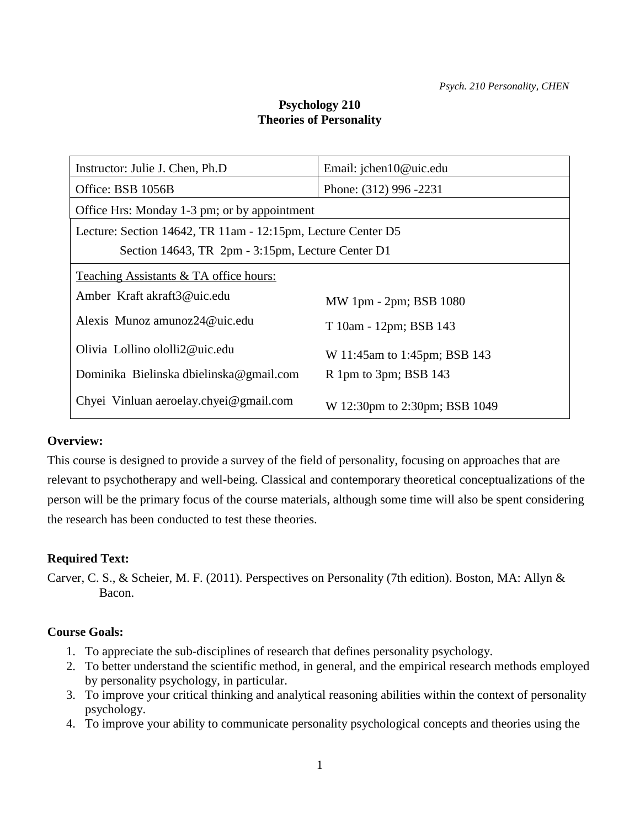# **Psychology 210 Theories of Personality**

| Instructor: Julie J. Chen, Ph.D.                             | Email: jchen10@uic.edu        |  |  |  |
|--------------------------------------------------------------|-------------------------------|--|--|--|
| Office: BSB 1056B                                            | Phone: (312) 996 -2231        |  |  |  |
| Office Hrs: Monday 1-3 pm; or by appointment                 |                               |  |  |  |
| Lecture: Section 14642, TR 11am - 12:15pm, Lecture Center D5 |                               |  |  |  |
| Section 14643, TR 2pm - 3:15pm, Lecture Center D1            |                               |  |  |  |
| Teaching Assistants & TA office hours:                       |                               |  |  |  |
| Amber Kraft akraft3@uic.edu                                  | MW 1pm - 2pm; BSB 1080        |  |  |  |
| Alexis Munoz amunoz24@uic.edu                                | T 10am - 12pm; BSB 143        |  |  |  |
| Olivia Lollino ololli2@uic.edu                               | W 11:45am to 1:45pm; BSB 143  |  |  |  |
| Dominika Bielinska dbielinska@gmail.com                      | R 1pm to 3pm; BSB 143         |  |  |  |
| Chyei Vinluan aeroelay.chyei@gmail.com                       | W 12:30pm to 2:30pm; BSB 1049 |  |  |  |

### **Overview:**

This course is designed to provide a survey of the field of personality, focusing on approaches that are relevant to psychotherapy and well-being. Classical and contemporary theoretical conceptualizations of the person will be the primary focus of the course materials, although some time will also be spent considering the research has been conducted to test these theories.

# **Required Text:**

Carver, C. S., & Scheier, M. F. (2011). Perspectives on Personality (7th edition). Boston, MA: Allyn & Bacon.

### **Course Goals:**

- 1. To appreciate the sub-disciplines of research that defines personality psychology.
- 2. To better understand the scientific method, in general, and the empirical research methods employed by personality psychology, in particular.
- 3. To improve your critical thinking and analytical reasoning abilities within the context of personality psychology.
- 4. To improve your ability to communicate personality psychological concepts and theories using the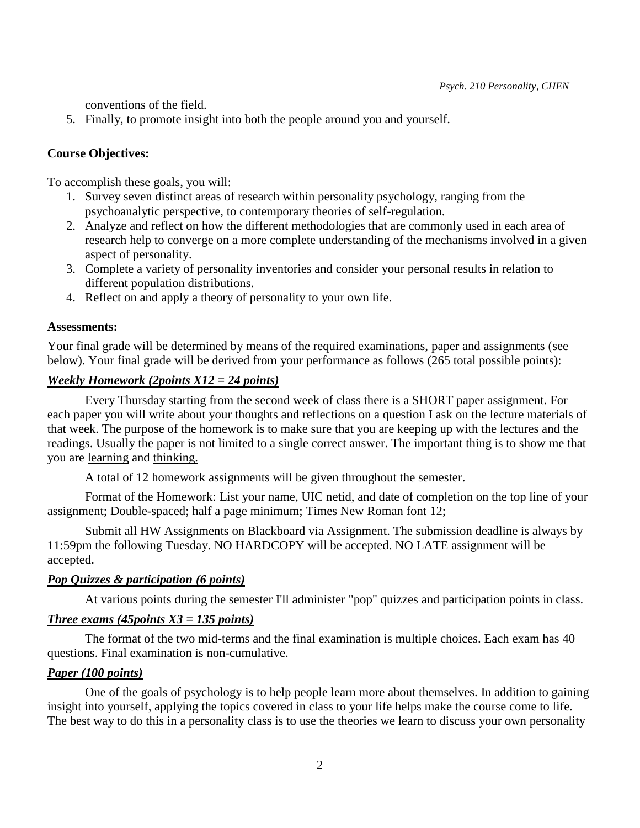conventions of the field.

5. Finally, to promote insight into both the people around you and yourself.

### **Course Objectives:**

To accomplish these goals, you will:

- 1. Survey seven distinct areas of research within personality psychology, ranging from the psychoanalytic perspective, to contemporary theories of self-regulation.
- 2. Analyze and reflect on how the different methodologies that are commonly used in each area of research help to converge on a more complete understanding of the mechanisms involved in a given aspect of personality.
- 3. Complete a variety of personality inventories and consider your personal results in relation to different population distributions.
- 4. Reflect on and apply a theory of personality to your own life.

#### **Assessments:**

Your final grade will be determined by means of the required examinations, paper and assignments (see below). Your final grade will be derived from your performance as follows (265 total possible points):

### *Weekly Homework (2points X12 = 24 points)*

Every Thursday starting from the second week of class there is a SHORT paper assignment. For each paper you will write about your thoughts and reflections on a question I ask on the lecture materials of that week. The purpose of the homework is to make sure that you are keeping up with the lectures and the readings. Usually the paper is not limited to a single correct answer. The important thing is to show me that you are learning and thinking.

A total of 12 homework assignments will be given throughout the semester.

 Format of the Homework: List your name, UIC netid, and date of completion on the top line of your assignment; Double-spaced; half a page minimum; Times New Roman font 12;

Submit all HW Assignments on Blackboard via Assignment. The submission deadline is always by 11:59pm the following Tuesday. NO HARDCOPY will be accepted. NO LATE assignment will be accepted.

### *Pop Quizzes & participation (6 points)*

At various points during the semester I'll administer "pop" quizzes and participation points in class.

# *Three exams (45points X3 = 135 points)*

The format of the two mid-terms and the final examination is multiple choices. Each exam has 40 questions. Final examination is non-cumulative.

### *Paper (100 points)*

One of the goals of psychology is to help people learn more about themselves. In addition to gaining insight into yourself, applying the topics covered in class to your life helps make the course come to life. The best way to do this in a personality class is to use the theories we learn to discuss your own personality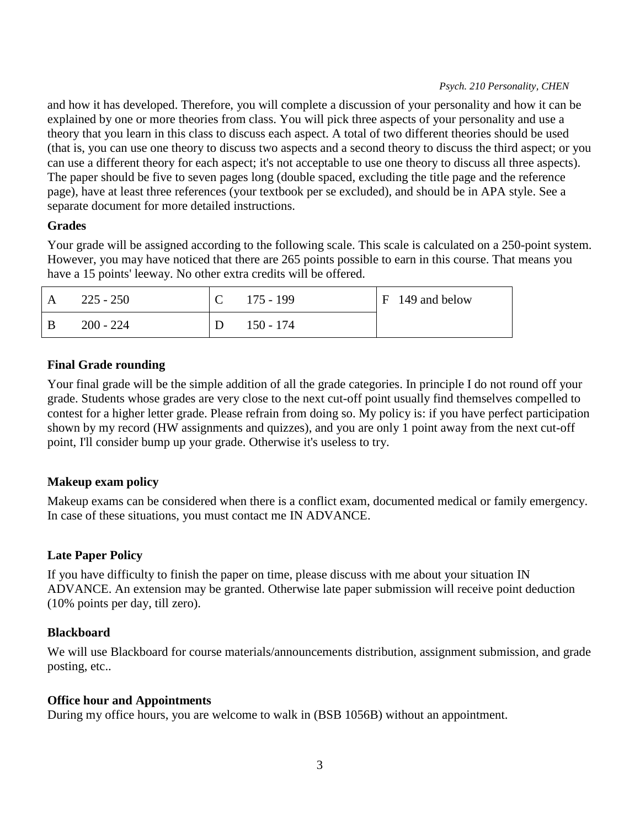#### *Psych. 210 Personality, CHEN*

and how it has developed. Therefore, you will complete a discussion of your personality and how it can be explained by one or more theories from class. You will pick three aspects of your personality and use a theory that you learn in this class to discuss each aspect. A total of two different theories should be used (that is, you can use one theory to discuss two aspects and a second theory to discuss the third aspect; or you can use a different theory for each aspect; it's not acceptable to use one theory to discuss all three aspects). The paper should be five to seven pages long (double spaced, excluding the title page and the reference page), have at least three references (your textbook per se excluded), and should be in APA style. See a separate document for more detailed instructions.

### **Grades**

Your grade will be assigned according to the following scale. This scale is calculated on a 250-point system. However, you may have noticed that there are 265 points possible to earn in this course. That means you have a 15 points' leeway. No other extra credits will be offered.

|   | 225 - 250 | $175 - 199$ | $F$ 149 and below |
|---|-----------|-------------|-------------------|
| B | 200 - 224 | $150 - 174$ |                   |

### **Final Grade rounding**

Your final grade will be the simple addition of all the grade categories. In principle I do not round off your grade. Students whose grades are very close to the next cut-off point usually find themselves compelled to contest for a higher letter grade. Please refrain from doing so. My policy is: if you have perfect participation shown by my record (HW assignments and quizzes), and you are only 1 point away from the next cut-off point, I'll consider bump up your grade. Otherwise it's useless to try.

### **Makeup exam policy**

Makeup exams can be considered when there is a conflict exam, documented medical or family emergency. In case of these situations, you must contact me IN ADVANCE.

# **Late Paper Policy**

If you have difficulty to finish the paper on time, please discuss with me about your situation IN ADVANCE. An extension may be granted. Otherwise late paper submission will receive point deduction (10% points per day, till zero).

# **Blackboard**

We will use Blackboard for course materials/announcements distribution, assignment submission, and grade posting, etc..

### **Office hour and Appointments**

During my office hours, you are welcome to walk in (BSB 1056B) without an appointment.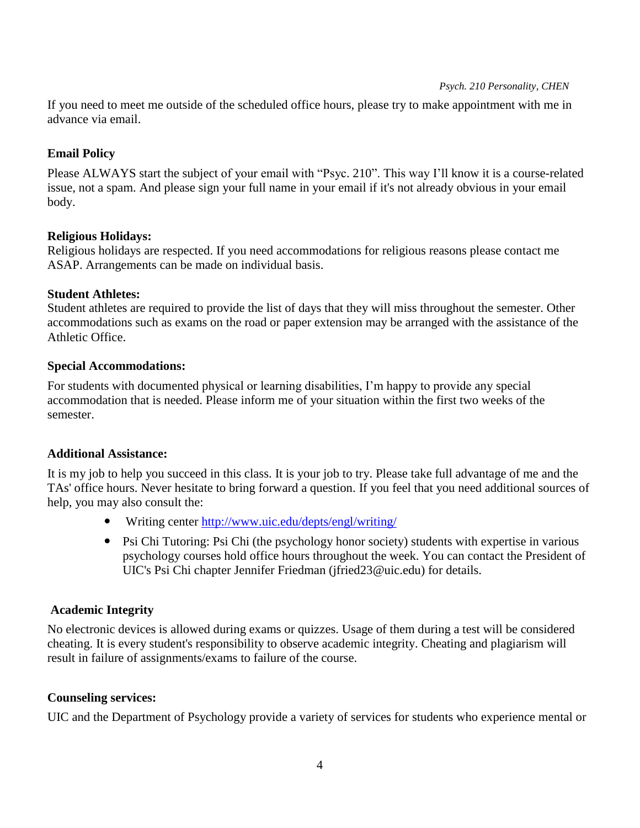#### *Psych. 210 Personality, CHEN*

If you need to meet me outside of the scheduled office hours, please try to make appointment with me in advance via email.

### **Email Policy**

Please ALWAYS start the subject of your email with "Psyc. 210". This way I'll know it is a course-related issue, not a spam. And please sign your full name in your email if it's not already obvious in your email body.

### **Religious Holidays:**

Religious holidays are respected. If you need accommodations for religious reasons please contact me ASAP. Arrangements can be made on individual basis.

### **Student Athletes:**

Student athletes are required to provide the list of days that they will miss throughout the semester. Other accommodations such as exams on the road or paper extension may be arranged with the assistance of the Athletic Office.

### **Special Accommodations:**

For students with documented physical or learning disabilities, I'm happy to provide any special accommodation that is needed. Please inform me of your situation within the first two weeks of the semester.

# **Additional Assistance:**

It is my job to help you succeed in this class. It is your job to try. Please take full advantage of me and the TAs' office hours. Never hesitate to bring forward a question. If you feel that you need additional sources of help, you may also consult the:

- Writing center<http://www.uic.edu/depts/engl/writing/>
- Psi Chi Tutoring: Psi Chi (the psychology honor society) students with expertise in various psychology courses hold office hours throughout the week. You can contact the President of UIC's Psi Chi chapter Jennifer Friedman (jfried23@uic.edu) for details.

# **Academic Integrity**

No electronic devices is allowed during exams or quizzes. Usage of them during a test will be considered cheating. It is every student's responsibility to observe academic integrity. Cheating and plagiarism will result in failure of assignments/exams to failure of the course.

# **Counseling services:**

UIC and the Department of Psychology provide a variety of services for students who experience mental or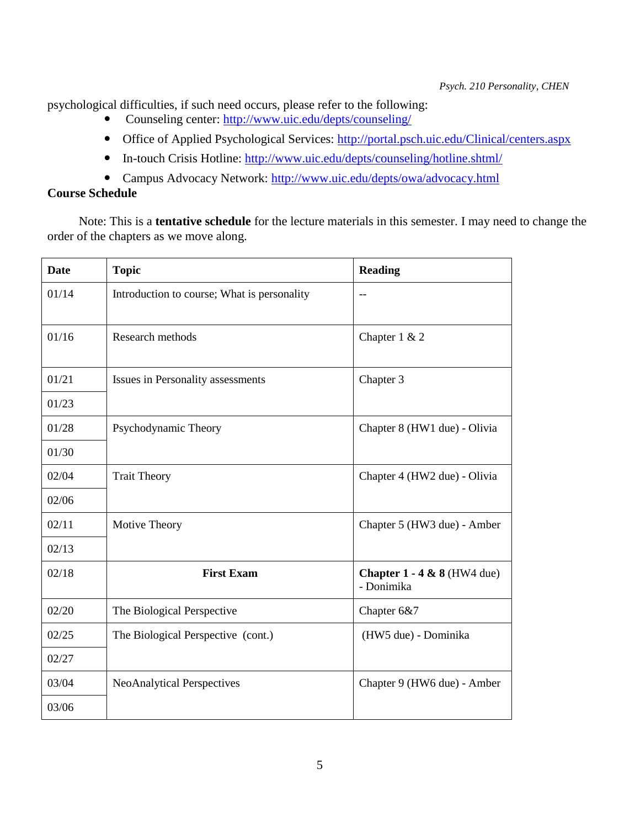psychological difficulties, if such need occurs, please refer to the following:

- Counseling center:<http://www.uic.edu/depts/counseling/>
- Office of Applied Psychological Services:<http://portal.psch.uic.edu/Clinical/centers.aspx>
- In-touch Crisis Hotline:<http://www.uic.edu/depts/counseling/hotline.shtml/>
- Campus Advocacy Network:<http://www.uic.edu/depts/owa/advocacy.html>

# **Course Schedule**

 Note: This is a **tentative schedule** for the lecture materials in this semester. I may need to change the order of the chapters as we move along.

| <b>Date</b> | <b>Topic</b>                                | <b>Reading</b>                              |
|-------------|---------------------------------------------|---------------------------------------------|
| 01/14       | Introduction to course; What is personality | $-$                                         |
| 01/16       | Research methods                            | Chapter 1 & 2                               |
| 01/21       | Issues in Personality assessments           | Chapter 3                                   |
| 01/23       |                                             |                                             |
| 01/28       | Psychodynamic Theory                        | Chapter 8 (HW1 due) - Olivia                |
| 01/30       |                                             |                                             |
| 02/04       | <b>Trait Theory</b>                         | Chapter 4 (HW2 due) - Olivia                |
| 02/06       |                                             |                                             |
| 02/11       | Motive Theory                               | Chapter 5 (HW3 due) - Amber                 |
| 02/13       |                                             |                                             |
| 02/18       | <b>First Exam</b>                           | Chapter $1 - 4 & 8$ (HW4 due)<br>- Donimika |
| 02/20       | The Biological Perspective                  | Chapter 6&7                                 |
| 02/25       | The Biological Perspective (cont.)          | (HW5 due) - Dominika                        |
| 02/27       |                                             |                                             |
| 03/04       | <b>NeoAnalytical Perspectives</b>           | Chapter 9 (HW6 due) - Amber                 |
| 03/06       |                                             |                                             |